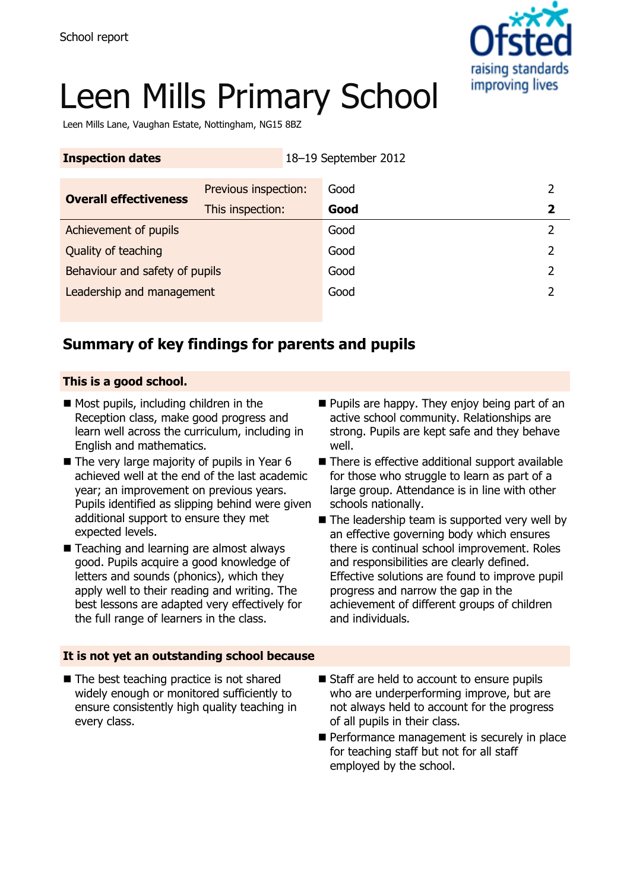

# Leen Mills Primary School

Leen Mills Lane, Vaughan Estate, Nottingham, NG15 8BZ

| <b>Inspection dates</b>        |                      | 18-19 September 2012 |             |
|--------------------------------|----------------------|----------------------|-------------|
| <b>Overall effectiveness</b>   | Previous inspection: | Good                 |             |
| Achievement of pupils          | This inspection:     | Good<br>Good         | $\mathbf 2$ |
| Quality of teaching            |                      | Good                 | 2           |
| Behaviour and safety of pupils |                      | Good                 |             |
| Leadership and management      |                      | Good                 |             |

## **Summary of key findings for parents and pupils**

#### **This is a good school.**

- Most pupils, including children in the Reception class, make good progress and learn well across the curriculum, including in English and mathematics.
- $\blacksquare$  The very large majority of pupils in Year 6 achieved well at the end of the last academic year; an improvement on previous years. Pupils identified as slipping behind were given additional support to ensure they met expected levels.
- Teaching and learning are almost always good. Pupils acquire a good knowledge of letters and sounds (phonics), which they apply well to their reading and writing. The best lessons are adapted very effectively for the full range of learners in the class.
- **Pupils are happy. They enjoy being part of an** active school community. Relationships are strong. Pupils are kept safe and they behave well.
- There is effective additional support available for those who struggle to learn as part of a large group. Attendance is in line with other schools nationally.
- $\blacksquare$  The leadership team is supported very well by an effective governing body which ensures there is continual school improvement. Roles and responsibilities are clearly defined. Effective solutions are found to improve pupil progress and narrow the gap in the achievement of different groups of children and individuals.

#### **It is not yet an outstanding school because**

- The best teaching practice is not shared widely enough or monitored sufficiently to ensure consistently high quality teaching in every class.
- Staff are held to account to ensure pupils who are underperforming improve, but are not always held to account for the progress of all pupils in their class.
- Performance management is securely in place for teaching staff but not for all staff employed by the school.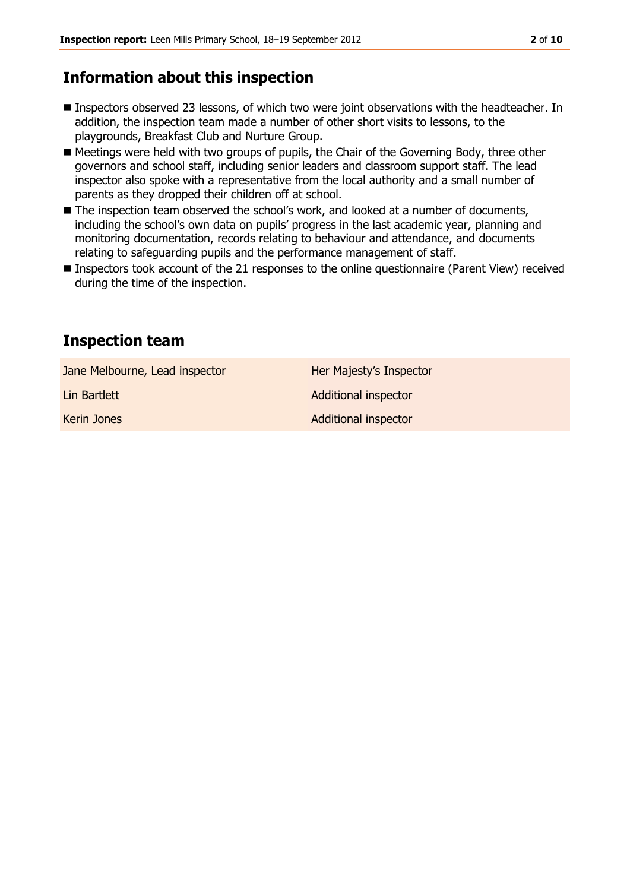## **Information about this inspection**

- Inspectors observed 23 lessons, of which two were joint observations with the headteacher. In addition, the inspection team made a number of other short visits to lessons, to the playgrounds, Breakfast Club and Nurture Group.
- Meetings were held with two groups of pupils, the Chair of the Governing Body, three other governors and school staff, including senior leaders and classroom support staff. The lead inspector also spoke with a representative from the local authority and a small number of parents as they dropped their children off at school.
- The inspection team observed the school's work, and looked at a number of documents, including the school's own data on pupils' progress in the last academic year, planning and monitoring documentation, records relating to behaviour and attendance, and documents relating to safeguarding pupils and the performance management of staff.
- Inspectors took account of the 21 responses to the online questionnaire (Parent View) received during the time of the inspection.

### **Inspection team**

Jane Melbourne, Lead inspector **Her Majesty's Inspector** 

Lin Bartlett **Additional inspector** 

Kerin Jones **Additional inspector** Additional inspector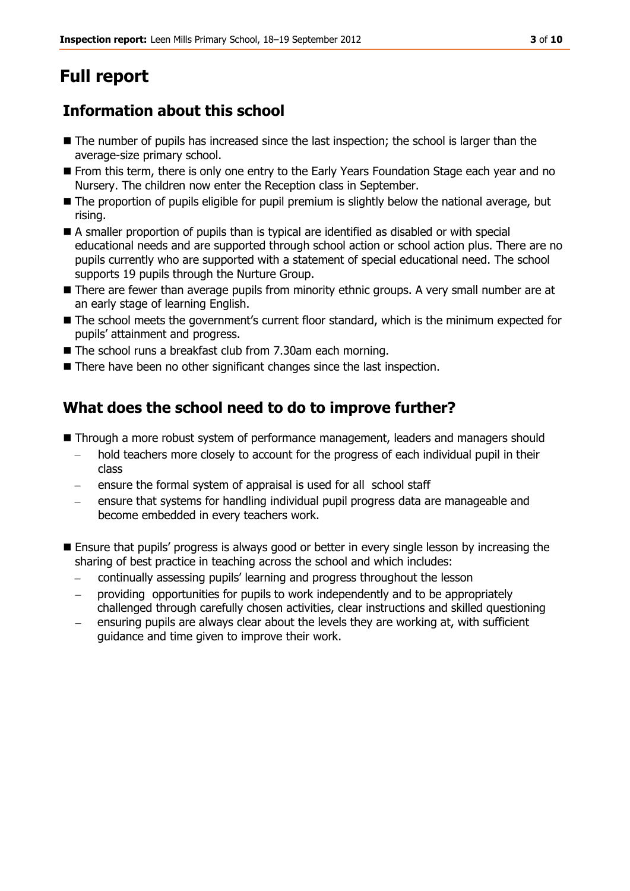# **Full report**

## **Information about this school**

- The number of pupils has increased since the last inspection; the school is larger than the average-size primary school.
- From this term, there is only one entry to the Early Years Foundation Stage each year and no Nursery. The children now enter the Reception class in September.
- The proportion of pupils eligible for pupil premium is slightly below the national average, but rising.
- A smaller proportion of pupils than is typical are identified as disabled or with special educational needs and are supported through school action or school action plus. There are no pupils currently who are supported with a statement of special educational need. The school supports 19 pupils through the Nurture Group.
- **There are fewer than average pupils from minority ethnic groups. A very small number are at** an early stage of learning English.
- $\blacksquare$  The school meets the government's current floor standard, which is the minimum expected for pupils' attainment and progress.
- The school runs a breakfast club from 7.30am each morning.
- There have been no other significant changes since the last inspection.

## **What does the school need to do to improve further?**

- **Through a more robust system of performance management, leaders and managers should** 
	- hold teachers more closely to account for the progress of each individual pupil in their  $\frac{1}{2}$ class
	- ensure the formal system of appraisal is used for all school staff
	- ensure that systems for handling individual pupil progress data are manageable and become embedded in every teachers work.
- **Ensure that pupils' progress is always good or better in every single lesson by increasing the** sharing of best practice in teaching across the school and which includes:
	- continually assessing pupils' learning and progress throughout the lesson
	- providing opportunities for pupils to work independently and to be appropriately challenged through carefully chosen activities, clear instructions and skilled questioning
	- ensuring pupils are always clear about the levels they are working at, with sufficient guidance and time given to improve their work.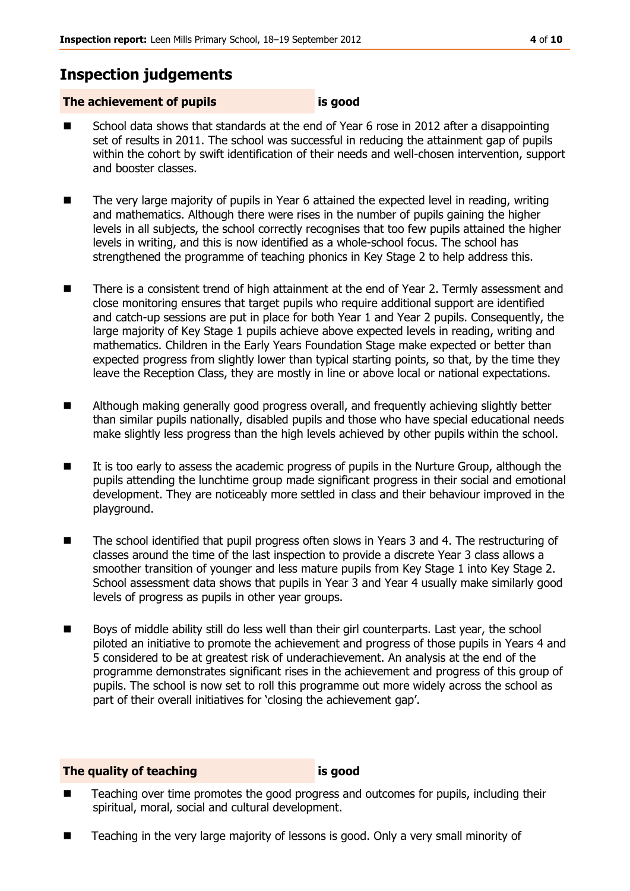## **Inspection judgements**

#### **The achievement of pupils is good**

- School data shows that standards at the end of Year 6 rose in 2012 after a disappointing set of results in 2011. The school was successful in reducing the attainment gap of pupils within the cohort by swift identification of their needs and well-chosen intervention, support and booster classes.
- The very large majority of pupils in Year 6 attained the expected level in reading, writing and mathematics. Although there were rises in the number of pupils gaining the higher levels in all subjects, the school correctly recognises that too few pupils attained the higher levels in writing, and this is now identified as a whole-school focus. The school has strengthened the programme of teaching phonics in Key Stage 2 to help address this.
- There is a consistent trend of high attainment at the end of Year 2. Termly assessment and close monitoring ensures that target pupils who require additional support are identified and catch-up sessions are put in place for both Year 1 and Year 2 pupils. Consequently, the large majority of Key Stage 1 pupils achieve above expected levels in reading, writing and mathematics. Children in the Early Years Foundation Stage make expected or better than expected progress from slightly lower than typical starting points, so that, by the time they leave the Reception Class, they are mostly in line or above local or national expectations.
- **EXTE:** Although making generally good progress overall, and frequently achieving slightly better than similar pupils nationally, disabled pupils and those who have special educational needs make slightly less progress than the high levels achieved by other pupils within the school.
- It is too early to assess the academic progress of pupils in the Nurture Group, although the pupils attending the lunchtime group made significant progress in their social and emotional development. They are noticeably more settled in class and their behaviour improved in the playground.
- The school identified that pupil progress often slows in Years 3 and 4. The restructuring of classes around the time of the last inspection to provide a discrete Year 3 class allows a smoother transition of younger and less mature pupils from Key Stage 1 into Key Stage 2. School assessment data shows that pupils in Year 3 and Year 4 usually make similarly good levels of progress as pupils in other year groups.
- Boys of middle ability still do less well than their girl counterparts. Last year, the school piloted an initiative to promote the achievement and progress of those pupils in Years 4 and 5 considered to be at greatest risk of underachievement. An analysis at the end of the programme demonstrates significant rises in the achievement and progress of this group of pupils. The school is now set to roll this programme out more widely across the school as part of their overall initiatives for 'closing the achievement gap'.

#### **The quality of teaching is good**

- Teaching over time promotes the good progress and outcomes for pupils, including their spiritual, moral, social and cultural development.
- Teaching in the very large majority of lessons is good. Only a very small minority of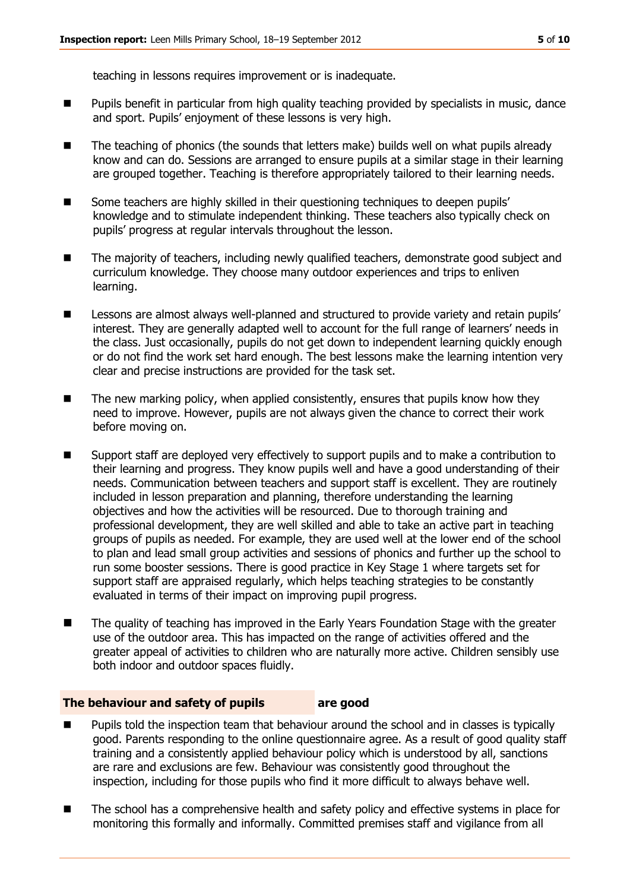teaching in lessons requires improvement or is inadequate.

- Pupils benefit in particular from high quality teaching provided by specialists in music, dance and sport. Pupils' enjoyment of these lessons is very high.
- The teaching of phonics (the sounds that letters make) builds well on what pupils already know and can do. Sessions are arranged to ensure pupils at a similar stage in their learning are grouped together. Teaching is therefore appropriately tailored to their learning needs.
- Some teachers are highly skilled in their questioning techniques to deepen pupils' knowledge and to stimulate independent thinking. These teachers also typically check on pupils' progress at regular intervals throughout the lesson.
- The majority of teachers, including newly qualified teachers, demonstrate good subject and curriculum knowledge. They choose many outdoor experiences and trips to enliven learning.
- Lessons are almost always well-planned and structured to provide variety and retain pupils' interest. They are generally adapted well to account for the full range of learners' needs in the class. Just occasionally, pupils do not get down to independent learning quickly enough or do not find the work set hard enough. The best lessons make the learning intention very clear and precise instructions are provided for the task set.
- $\blacksquare$  The new marking policy, when applied consistently, ensures that pupils know how they need to improve. However, pupils are not always given the chance to correct their work before moving on.
- Support staff are deployed very effectively to support pupils and to make a contribution to their learning and progress. They know pupils well and have a good understanding of their needs. Communication between teachers and support staff is excellent. They are routinely included in lesson preparation and planning, therefore understanding the learning objectives and how the activities will be resourced. Due to thorough training and professional development, they are well skilled and able to take an active part in teaching groups of pupils as needed. For example, they are used well at the lower end of the school to plan and lead small group activities and sessions of phonics and further up the school to run some booster sessions. There is good practice in Key Stage 1 where targets set for support staff are appraised regularly, which helps teaching strategies to be constantly evaluated in terms of their impact on improving pupil progress.
- The quality of teaching has improved in the Early Years Foundation Stage with the greater use of the outdoor area. This has impacted on the range of activities offered and the greater appeal of activities to children who are naturally more active. Children sensibly use both indoor and outdoor spaces fluidly.

#### **The behaviour and safety of pupils are good**

- Pupils told the inspection team that behaviour around the school and in classes is typically good. Parents responding to the online questionnaire agree. As a result of good quality staff training and a consistently applied behaviour policy which is understood by all, sanctions are rare and exclusions are few. Behaviour was consistently good throughout the inspection, including for those pupils who find it more difficult to always behave well.
- The school has a comprehensive health and safety policy and effective systems in place for monitoring this formally and informally. Committed premises staff and vigilance from all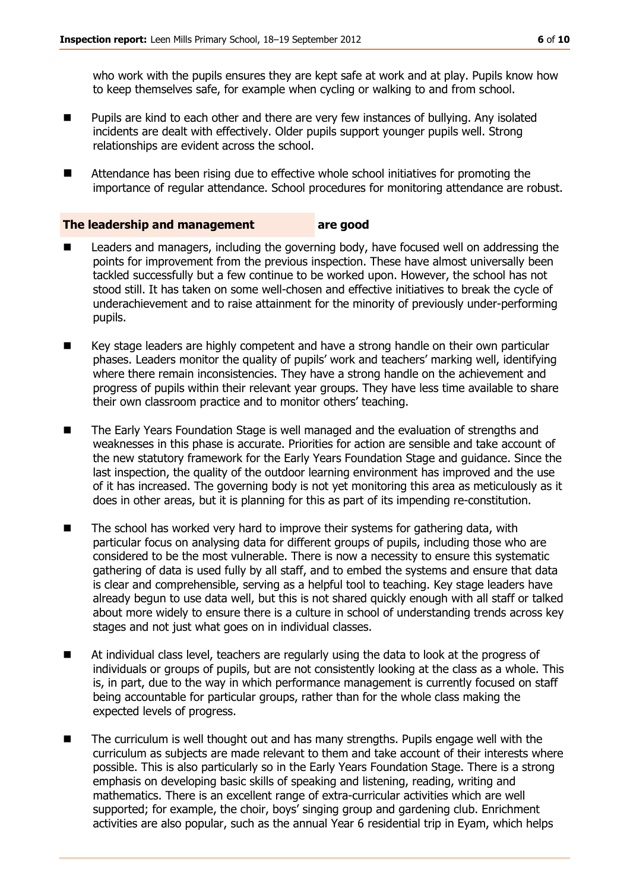who work with the pupils ensures they are kept safe at work and at play. Pupils know how to keep themselves safe, for example when cycling or walking to and from school.

- **Pupils are kind to each other and there are very few instances of bullying. Any isolated** incidents are dealt with effectively. Older pupils support younger pupils well. Strong relationships are evident across the school.
- Attendance has been rising due to effective whole school initiatives for promoting the importance of regular attendance. School procedures for monitoring attendance are robust.

#### **The leadership and management are good**

- Leaders and managers, including the governing body, have focused well on addressing the points for improvement from the previous inspection. These have almost universally been tackled successfully but a few continue to be worked upon. However, the school has not stood still. It has taken on some well-chosen and effective initiatives to break the cycle of underachievement and to raise attainment for the minority of previously under-performing pupils.
- Key stage leaders are highly competent and have a strong handle on their own particular phases. Leaders monitor the quality of pupils' work and teachers' marking well, identifying where there remain inconsistencies. They have a strong handle on the achievement and progress of pupils within their relevant year groups. They have less time available to share their own classroom practice and to monitor others' teaching.
- The Early Years Foundation Stage is well managed and the evaluation of strengths and weaknesses in this phase is accurate. Priorities for action are sensible and take account of the new statutory framework for the Early Years Foundation Stage and guidance. Since the last inspection, the quality of the outdoor learning environment has improved and the use of it has increased. The governing body is not yet monitoring this area as meticulously as it does in other areas, but it is planning for this as part of its impending re-constitution.
- The school has worked very hard to improve their systems for gathering data, with particular focus on analysing data for different groups of pupils, including those who are considered to be the most vulnerable. There is now a necessity to ensure this systematic gathering of data is used fully by all staff, and to embed the systems and ensure that data is clear and comprehensible, serving as a helpful tool to teaching. Key stage leaders have already begun to use data well, but this is not shared quickly enough with all staff or talked about more widely to ensure there is a culture in school of understanding trends across key stages and not just what goes on in individual classes.
- At individual class level, teachers are regularly using the data to look at the progress of individuals or groups of pupils, but are not consistently looking at the class as a whole. This is, in part, due to the way in which performance management is currently focused on staff being accountable for particular groups, rather than for the whole class making the expected levels of progress.
- The curriculum is well thought out and has many strengths. Pupils engage well with the curriculum as subjects are made relevant to them and take account of their interests where possible. This is also particularly so in the Early Years Foundation Stage. There is a strong emphasis on developing basic skills of speaking and listening, reading, writing and mathematics. There is an excellent range of extra-curricular activities which are well supported; for example, the choir, boys' singing group and gardening club. Enrichment activities are also popular, such as the annual Year 6 residential trip in Eyam, which helps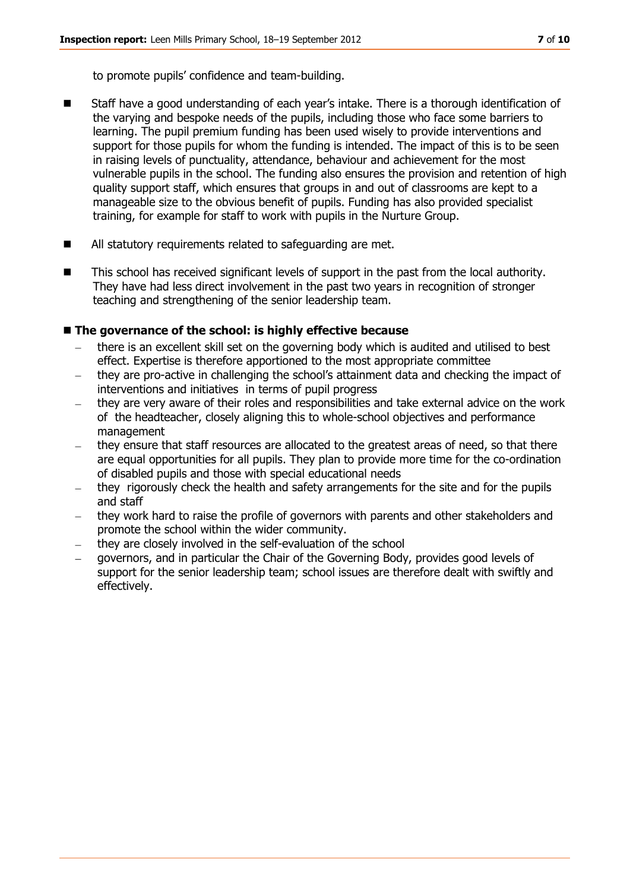to promote pupils' confidence and team-building.

- Staff have a good understanding of each year's intake. There is a thorough identification of the varying and bespoke needs of the pupils, including those who face some barriers to learning. The pupil premium funding has been used wisely to provide interventions and support for those pupils for whom the funding is intended. The impact of this is to be seen in raising levels of punctuality, attendance, behaviour and achievement for the most vulnerable pupils in the school. The funding also ensures the provision and retention of high quality support staff, which ensures that groups in and out of classrooms are kept to a manageable size to the obvious benefit of pupils. Funding has also provided specialist training, for example for staff to work with pupils in the Nurture Group.
- All statutory requirements related to safeguarding are met.
- This school has received significant levels of support in the past from the local authority. They have had less direct involvement in the past two years in recognition of stronger teaching and strengthening of the senior leadership team.

#### ■ The governance of the school: is highly effective because

- there is an excellent skill set on the governing body which is audited and utilised to best effect. Expertise is therefore apportioned to the most appropriate committee
- they are pro-active in challenging the school's attainment data and checking the impact of interventions and initiatives in terms of pupil progress
- they are very aware of their roles and responsibilities and take external advice on the work of the headteacher, closely aligning this to whole-school objectives and performance management
- they ensure that staff resources are allocated to the greatest areas of need, so that there are equal opportunities for all pupils. They plan to provide more time for the co-ordination of disabled pupils and those with special educational needs
- they rigorously check the health and safety arrangements for the site and for the pupils and staff
- they work hard to raise the profile of governors with parents and other stakeholders and promote the school within the wider community.
- they are closely involved in the self-evaluation of the school
- governors, and in particular the Chair of the Governing Body, provides good levels of support for the senior leadership team; school issues are therefore dealt with swiftly and effectively.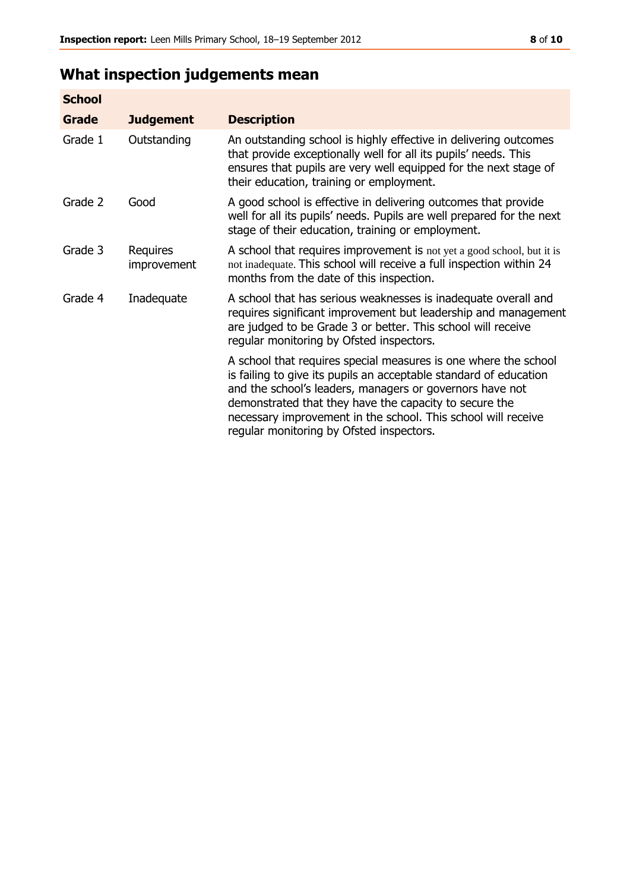# **What inspection judgements mean**

| <b>School</b> |                         |                                                                                                                                                                                                                                                                                                                                                                         |
|---------------|-------------------------|-------------------------------------------------------------------------------------------------------------------------------------------------------------------------------------------------------------------------------------------------------------------------------------------------------------------------------------------------------------------------|
| <b>Grade</b>  | <b>Judgement</b>        | <b>Description</b>                                                                                                                                                                                                                                                                                                                                                      |
| Grade 1       | Outstanding             | An outstanding school is highly effective in delivering outcomes<br>that provide exceptionally well for all its pupils' needs. This<br>ensures that pupils are very well equipped for the next stage of<br>their education, training or employment.                                                                                                                     |
| Grade 2       | Good                    | A good school is effective in delivering outcomes that provide<br>well for all its pupils' needs. Pupils are well prepared for the next<br>stage of their education, training or employment.                                                                                                                                                                            |
| Grade 3       | Requires<br>improvement | A school that requires improvement is not yet a good school, but it is<br>not inadequate. This school will receive a full inspection within 24<br>months from the date of this inspection.                                                                                                                                                                              |
| Grade 4       | Inadequate              | A school that has serious weaknesses is inadequate overall and<br>requires significant improvement but leadership and management<br>are judged to be Grade 3 or better. This school will receive<br>regular monitoring by Ofsted inspectors.                                                                                                                            |
|               |                         | A school that requires special measures is one where the school<br>is failing to give its pupils an acceptable standard of education<br>and the school's leaders, managers or governors have not<br>demonstrated that they have the capacity to secure the<br>necessary improvement in the school. This school will receive<br>regular monitoring by Ofsted inspectors. |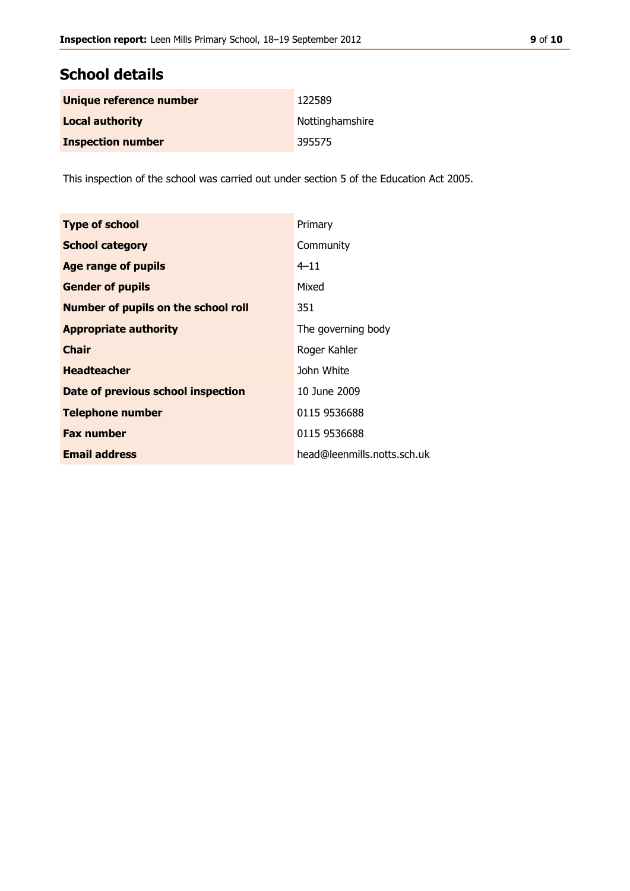## **School details**

| Unique reference number  | 122589          |
|--------------------------|-----------------|
| <b>Local authority</b>   | Nottinghamshire |
| <b>Inspection number</b> | 395575          |

This inspection of the school was carried out under section 5 of the Education Act 2005.

| <b>Type of school</b>                      | Primary                     |
|--------------------------------------------|-----------------------------|
| <b>School category</b>                     | Community                   |
| <b>Age range of pupils</b>                 | $4 - 11$                    |
| <b>Gender of pupils</b>                    | Mixed                       |
| <b>Number of pupils on the school roll</b> | 351                         |
| <b>Appropriate authority</b>               | The governing body          |
| <b>Chair</b>                               | Roger Kahler                |
| <b>Headteacher</b>                         | John White                  |
| Date of previous school inspection         | 10 June 2009                |
| <b>Telephone number</b>                    | 0115 9536688                |
| <b>Fax number</b>                          | 0115 9536688                |
| <b>Email address</b>                       | head@leenmills.notts.sch.uk |